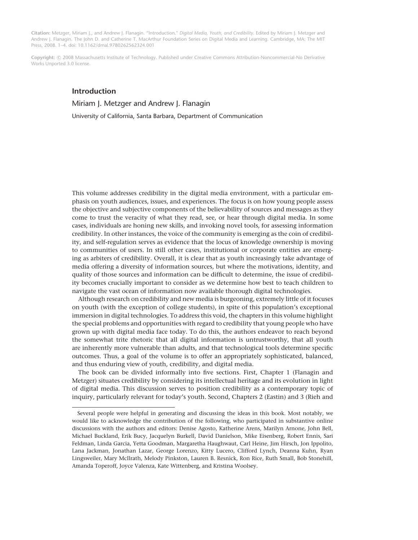**Citation:** Metzger, Miriam J., and Andrew J. Flanagin. "Introduction." *Digital Media, Youth, and Credibility*. Edited by Miriam J. Metzger and Andrew J. Flanagin. The John D. and Catherine T. MacArthur Foundation Series on Digital Media and Learning. Cambridge, MA: The MIT Press, 2008. 1–4. doi: 10.1162/dmal.9780262562324.001

Copyright: © 2008 Massachusetts Institute of Technology. Published under Creative Commons Attribution-Noncommercial-No Derivative Works Unported 3.0 license.

## **Introduction**

Miriam J. Metzger and Andrew J. Flanagin

University of California, Santa Barbara, Department of Communication

This volume addresses credibility in the digital media environment, with a particular emphasis on youth audiences, issues, and experiences. The focus is on how young people assess the objective and subjective components of the believability of sources and messages as they come to trust the veracity of what they read, see, or hear through digital media. In some cases, individuals are honing new skills, and invoking novel tools, for assessing information credibility. In other instances, the voice of the community is emerging as the coin of credibility, and self-regulation serves as evidence that the locus of knowledge ownership is moving to communities of users. In still other cases, institutional or corporate entities are emerging as arbiters of credibility. Overall, it is clear that as youth increasingly take advantage of media offering a diversity of information sources, but where the motivations, identity, and quality of those sources and information can be difficult to determine, the issue of credibility becomes crucially important to consider as we determine how best to teach children to navigate the vast ocean of information now available thorough digital technologies.

Although research on credibility and new media is burgeoning, extremely little of it focuses on youth (with the exception of college students), in spite of this population's exceptional immersion in digital technologies. To address this void, the chapters in this volume highlight the special problems and opportunities with regard to credibility that young people who have grown up with digital media face today. To do this, the authors endeavor to reach beyond the somewhat trite rhetoric that all digital information is untrustworthy, that all youth are inherently more vulnerable than adults, and that technological tools determine specific outcomes. Thus, a goal of the volume is to offer an appropriately sophisticated, balanced, and thus enduring view of youth, credibility, and digital media.

The book can be divided informally into five sections. First, Chapter 1 (Flanagin and Metzger) situates credibility by considering its intellectual heritage and its evolution in light of digital media. This discussion serves to position credibility as a contemporary topic of inquiry, particularly relevant for today's youth. Second, Chapters 2 (Eastin) and 3 (Rieh and

Several people were helpful in generating and discussing the ideas in this book. Most notably, we would like to acknowledge the contribution of the following, who participated in substantive online discussions with the authors and editors: Denise Agosto, Katherine Arens, Marilyn Arnone, John Bell, Michael Buckland, Erik Bucy, Jacquelyn Burkell, David Danielson, Mike Eisenberg, Robert Ennis, Sari Feldman, Linda Garcia, Yetta Goodman, Margaretha Haughwaut, Carl Heine, Jim Hirsch, Jon Ippolito, Lana Jackman, Jonathan Lazar, George Lorenzo, Kitty Lucero, Clifford Lynch, Deanna Kuhn, Ryan Lingsweiler, Mary McIlrath, Melody Pinkston, Lauren B. Resnick, Ron Rice, Ruth Small, Bob Stonehill, Amanda Toperoff, Joyce Valenza, Kate Wittenberg, and Kristina Woolsey.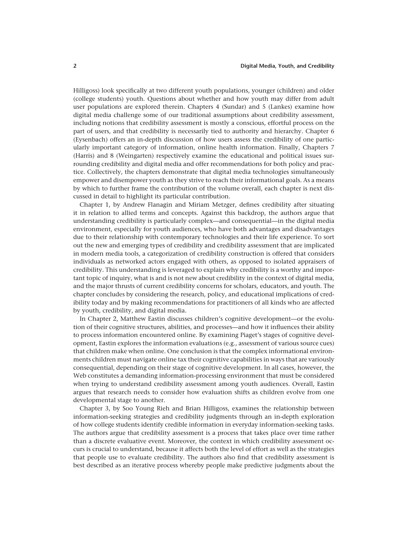Hilligoss) look specifically at two different youth populations, younger (children) and older (college students) youth. Questions about whether and how youth may differ from adult user populations are explored therein. Chapters 4 (Sundar) and 5 (Lankes) examine how digital media challenge some of our traditional assumptions about credibility assessment, including notions that credibility assessment is mostly a conscious, effortful process on the part of users, and that credibility is necessarily tied to authority and hierarchy. Chapter 6 (Eysenbach) offers an in-depth discussion of how users assess the credibility of one particularly important category of information, online health information. Finally, Chapters 7 (Harris) and 8 (Weingarten) respectively examine the educational and political issues surrounding credibility and digital media and offer recommendations for both policy and practice. Collectively, the chapters demonstrate that digital media technologies simultaneously empower and disempower youth as they strive to reach their informational goals. As a means by which to further frame the contribution of the volume overall, each chapter is next discussed in detail to highlight its particular contribution.

Chapter 1, by Andrew Flanagin and Miriam Metzger, defines credibility after situating it in relation to allied terms and concepts. Against this backdrop, the authors argue that understanding credibility is particularly complex—and consequential—in the digital media environment, especially for youth audiences, who have both advantages and disadvantages due to their relationship with contemporary technologies and their life experience. To sort out the new and emerging types of credibility and credibility assessment that are implicated in modern media tools, a categorization of credibility construction is offered that considers individuals as networked actors engaged with others, as opposed to isolated appraisers of credibility. This understanding is leveraged to explain why credibility is a worthy and important topic of inquiry, what is and is not new about credibility in the context of digital media, and the major thrusts of current credibility concerns for scholars, educators, and youth. The chapter concludes by considering the research, policy, and educational implications of credibility today and by making recommendations for practitioners of all kinds who are affected by youth, credibility, and digital media.

In Chapter 2, Matthew Eastin discusses children's cognitive development—or the evolution of their cognitive structures, abilities, and processes—and how it influences their ability to process information encountered online. By examining Piaget's stages of cognitive development, Eastin explores the information evaluations (e.g., assessment of various source cues) that children make when online. One conclusion is that the complex informational environments children must navigate online tax their cognitive capabilities in ways that are variously consequential, depending on their stage of cognitive development. In all cases, however, the Web constitutes a demanding information-processing environment that must be considered when trying to understand credibility assessment among youth audiences. Overall, Eastin argues that research needs to consider how evaluation shifts as children evolve from one developmental stage to another.

Chapter 3, by Soo Young Rieh and Brian Hilligoss, examines the relationship between information-seeking strategies and credibility judgments through an in-depth exploration of how college students identify credible information in everyday information-seeking tasks. The authors argue that credibility assessment is a process that takes place over time rather than a discrete evaluative event. Moreover, the context in which credibility assessment occurs is crucial to understand, because it affects both the level of effort as well as the strategies that people use to evaluate credibility. The authors also find that credibility assessment is best described as an iterative process whereby people make predictive judgments about the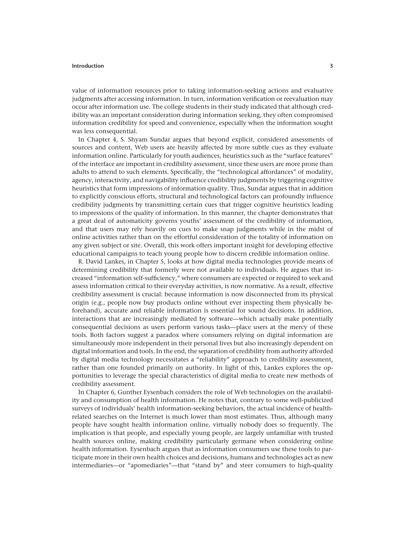## **Introduction 3**

value of information resources prior to taking information-seeking actions and evaluative judgments after accessing information. In turn, information verification or reevaluation may occur after information use. The college students in their study indicated that although credibility was an important consideration during information seeking, they often compromised information credibility for speed and convenience, especially when the information sought was less consequential.

In Chapter 4, S. Shyam Sundar argues that beyond explicit, considered assessments of sources and content, Web users are heavily affected by more subtle cues as they evaluate information online. Particularly for youth audiences, heuristics such as the "surface features" of the interface are important in credibility assessment, since these users are more prone than adults to attend to such elements. Specifically, the "technological affordances" of modality, agency, interactivity, and navigability influence credibility judgments by triggering cognitive heuristics that form impressions of information quality. Thus, Sundar argues that in addition to explicitly conscious efforts, structural and technological factors can profoundly influence credibility judgments by transmitting certain cues that trigger cognitive heuristics leading to impressions of the quality of information. In this manner, the chapter demonstrates that a great deal of automaticity governs youths' assessment of the credibility of information, and that users may rely heavily on cues to make snap judgments while in the midst of online activities rather than on the effortful consideration of the totality of information on any given subject or site. Overall, this work offers important insight for developing effective educational campaigns to teach young people how to discern credible information online.

R. David Lankes, in Chapter 5, looks at how digital media technologies provide means of determining credibility that formerly were not available to individuals. He argues that increased "information self-sufficiency," where consumers are expected or required to seek and assess information critical to their everyday activities, is now normative. As a result, effective credibility assessment is crucial: because information is now disconnected from its physical origin (e.g., people now buy products online without ever inspecting them physically beforehand), accurate and reliable information is essential for sound decisions. In addition, interactions that are increasingly mediated by software—which actually make potentially consequential decisions as users perform various tasks—place users at the mercy of these tools. Both factors suggest a paradox where consumers relying on digital information are simultaneously more independent in their personal lives but also increasingly dependent on digital information and tools. In the end, the separation of credibility from authority afforded by digital media technology necessitates a "reliability" approach to credibility assessment, rather than one founded primarily on authority. In light of this, Lankes explores the opportunities to leverage the special characteristics of digital media to create new methods of credibility assessment.

In Chapter 6, Gunther Eysenbach considers the role of Web technologies on the availability and consumption of health information. He notes that, contrary to some well-publicized surveys of individuals' health information-seeking behaviors, the actual incidence of healthrelated searches on the Internet is much lower than most estimates. Thus, although many people have sought health information online, virtually nobody does so frequently. The implication is that people, and especially young people, are largely unfamiliar with trusted health sources online, making credibility particularly germane when considering online health information. Eysenbach argues that as information consumers use these tools to participate more in their own health choices and decisions, humans and technologies act as new intermediaries—or "apomediaries"—that "stand by" and steer consumers to high-quality